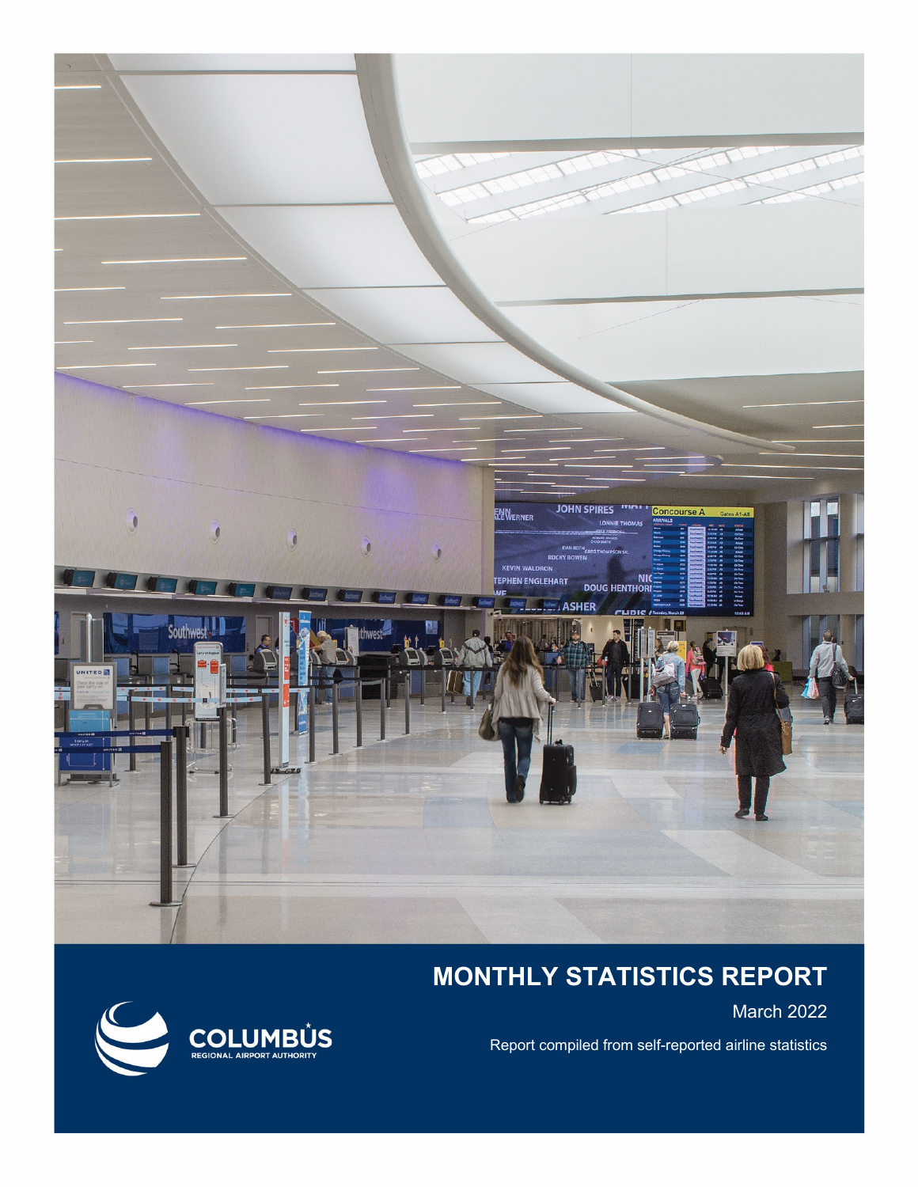

## **MONTHLY STATISTICS REPORT**

March 2022

Report compiled from self-reported airline statistics

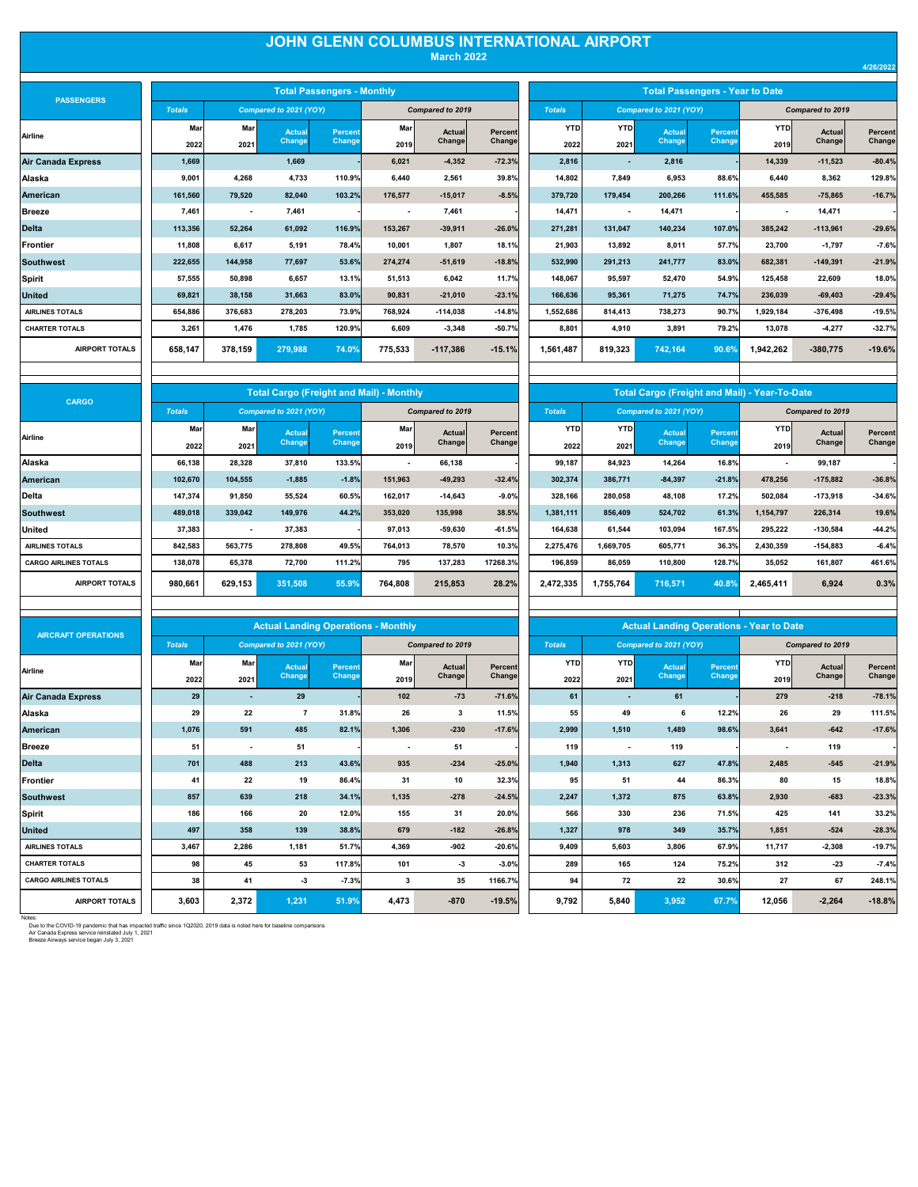## **JOHN GLENN COLUMBUS INTERNATIONAL AIRPORT March 2022**

| <b>PASSENGERS</b>         |               |                          |                        | <b>Total Passengers - Monthly</b> |         |                  |          |               |                          |                        | <b>Total Passengers - Year to Date</b> |           |                  |          |
|---------------------------|---------------|--------------------------|------------------------|-----------------------------------|---------|------------------|----------|---------------|--------------------------|------------------------|----------------------------------------|-----------|------------------|----------|
|                           | <b>Totals</b> |                          | Compared to 2021 (YOY) |                                   |         | Compared to 2019 |          | <b>Totals</b> |                          | Compared to 2021 (YOY) |                                        |           | Compared to 2019 |          |
| Airline                   | Mar           | <b>Mar</b>               | Actual                 | <b>Percent</b>                    | Mar     | Actual           | Percent  | <b>YTD</b>    | <b>YTD</b>               | <b>Actual</b>          | Percent                                | YTD       | Actual           | Percent  |
|                           | 2022          | 2021                     | Change                 | Change                            | 2019    | Change           | Change   | 2022          | 2021                     | Change                 | Change                                 | 2019      | Change           | Change   |
| <b>Air Canada Express</b> | 1.669         |                          | 1,669                  |                                   | 6,021   | $-4,352$         | $-72.3%$ | 2,816         | $\overline{\phantom{a}}$ | 2,816                  |                                        | 14,339    | $-11,523$        | $-80.4%$ |
| Alaska                    | 9,001         | 4,268                    | 4,733                  | 110.9%                            | 6.440   | 2,561            | 39.8%    | 14,802        | 7,849                    | 6,953                  | 88.6%                                  | 6.440     | 8,362            | 129.8%   |
| American                  | 161.560       | 79.520                   | 82,040                 | 103.2%                            | 176.577 | $-15.017$        | $-8.5%$  | 379.720       | 179.454                  | 200.266                | 111.6%                                 | 455.585   | $-75,865$        | $-16.7%$ |
| Breeze                    | 7.461         | $\overline{\phantom{a}}$ | 7.461                  |                                   |         | 7,461            |          | 14,471        | $\overline{\phantom{a}}$ | 14,471                 |                                        |           | 14,471           |          |
| <b>Delta</b>              | 113,356       | 52,264                   | 61,092                 | 116.9%                            | 153,267 | $-39,911$        | $-26.0%$ | 271,281       | 131,047                  | 140,234                | 107.0%                                 | 385,242   | $-113,961$       | $-29.6%$ |
| Frontier                  | 11.808        | 6.617                    | 5.191                  | 78.4%                             | 10.001  | 1.807            | 18.1%    | 21,903        | 13.892                   | 8.011                  | 57.7%                                  | 23.700    | $-1,797$         | $-7.6%$  |
| Southwest                 | 222.655       | 144.958                  | 77.697                 | 53.6%                             | 274.274 | $-51.619$        | $-18.8%$ | 532.990       | 291.213                  | 241.777                | 83.0%                                  | 682.381   | $-149,391$       | $-21.9%$ |
| Spirit                    | 57.555        | 50.898                   | 6,657                  | 13.1%                             | 51.513  | 6.042            | 11.7%    | 148.067       | 95.597                   | 52.470                 | 54.9%                                  | 125.458   | 22.609           | 18.0%    |
| United                    | 69,821        | 38,158                   | 31,663                 | 83.0%                             | 90,831  | $-21,010$        | $-23.1%$ | 166,636       | 95,361                   | 71,275                 | 74.7%                                  | 236,039   | $-69,403$        | $-29.4%$ |
| <b>AIRLINES TOTALS</b>    | 654.886       | 376.683                  | 278,203                | 73.9%                             | 768.924 | $-114.038$       | $-14.8%$ | 1,552,686     | 814.413                  | 738,273                | 90.7%                                  | 1,929,184 | $-376,498$       | $-19.5%$ |
| <b>CHARTER TOTALS</b>     | 3.261         | 1.476                    | 1,785                  | 120.9%                            | 6.609   | $-3.348$         | $-50.7%$ | 8.801         | 4.910                    | 3.891                  | 79.2%                                  | 13.078    | $-4.277$         | $-32.7%$ |
| <b>AIRPORT TOTALS</b>     | 658,147       | 378,159                  | 279,988                | 74.0%                             | 775,533 | $-117,386$       | $-15.1%$ | 1,561,487     | 819,323                  | 742,164                | 90.6%                                  | 1,942,262 | $-380,775$       | $-19.6%$ |
|                           |               |                          |                        |                                   |         |                  |          |               |                          |                        |                                        |           |                  |          |

|               | <b>Total Passengers - Monthly</b> |         |                         |          |               | <b>Total Passengers - Year to Date</b> |                        |                |            |                  |                |  |  |
|---------------|-----------------------------------|---------|-------------------------|----------|---------------|----------------------------------------|------------------------|----------------|------------|------------------|----------------|--|--|
| to 2021 (YOY) |                                   |         | <b>Compared to 2019</b> |          | <b>Totals</b> |                                        | Compared to 2021 (YOY) |                |            | Compared to 2019 |                |  |  |
| <b>Actual</b> | <b>Percent</b>                    | Mar     | <b>Actual</b>           | Percent  | <b>YTD</b>    | <b>YTD</b>                             | <b>Actual</b>          | <b>Percent</b> | <b>YTD</b> | <b>Actual</b>    | <b>Percent</b> |  |  |
| Change        | Change                            | 2019    | Change                  | Change   | 2022          | 2021                                   | Change                 | Change         | 2019       | Change           | Changel        |  |  |
| 1,669         |                                   | 6,021   | $-4,352$                | $-72.3%$ | 2,816         |                                        | 2,816                  |                | 14,339     | $-11,523$        | $-80.4%$       |  |  |
| 4,733         | 110.9%                            | 6,440   | 2,561                   | 39.8%    | 14,802        | 7,849                                  | 6,953                  | 88.6%          | 6,440      | 8,362            | 129.8%         |  |  |
| 82,040        | 103.2%                            | 176,577 | $-15,017$               | $-8.5%$  | 379,720       | 179,454                                | 200,266                | 111.6%         | 455,585    | $-75,865$        | $-16.7%$       |  |  |
| 7,461         |                                   |         | 7,461                   |          | 14,471        | ٠                                      | 14,471                 |                | ٠          | 14,471           |                |  |  |
| 61,092        | 116.9%                            | 153,267 | $-39,911$               | $-26.0%$ | 271,281       | 131,047                                | 140,234                | 107.0%         | 385,242    | $-113,961$       | $-29.6%$       |  |  |
| 5,191         | 78.4%                             | 10,001  | 1,807                   | 18.1%    | 21,903        | 13,892                                 | 8,011                  | 57.7%          | 23,700     | $-1,797$         | $-7.6%$        |  |  |
| 77,697        | 53.6%                             | 274,274 | $-51,619$               | $-18.8%$ | 532,990       | 291,213                                | 241,777                | 83.0%          | 682,381    | $-149,391$       | $-21.9%$       |  |  |
| 6,657         | 13.1%                             | 51,513  | 6,042                   | 11.7%    | 148,067       | 95,597                                 | 52,470                 | 54.9%          | 125.458    | 22,609           | 18.0%          |  |  |
| 31,663        | 83.0%                             | 90,831  | $-21,010$               | $-23.1%$ | 166,636       | 95,361                                 | 71,275                 | 74.7%          | 236,039    | $-69,403$        | $-29.4%$       |  |  |
| 278,203       | 73.9%                             | 768,924 | -114,038                | $-14.8%$ | 1,552,686     | 814,413                                | 738,273                | 90.7%          | 1,929,184  | $-376,498$       | $-19.5%$       |  |  |
| 1,785         | 120.9%                            | 6,609   | $-3,348$                | $-50.7%$ | 8.801         | 4,910                                  | 3,891                  | 79.2%          | 13,078     | $-4,277$         | $-32.7%$       |  |  |
| 279,988       | 74.0%                             | 775,533 | $-117,386$              | $-15.1%$ | 1,561,487     | 819,323                                | 742,164                | 90.6%          | 1,942,262  | $-380,775$       | $-19.6%$       |  |  |

| <b>CARGO</b>                 |               |            |                        |                | <b>Total Cargo (Freight and Mail) - Monthly</b> |                  |          |               |            | <b>Total Cargo (Freight and Mail) - Year-To-Date</b> |          |            |                  |                |
|------------------------------|---------------|------------|------------------------|----------------|-------------------------------------------------|------------------|----------|---------------|------------|------------------------------------------------------|----------|------------|------------------|----------------|
|                              | <b>Totals</b> |            | Compared to 2021 (YOY) |                |                                                 | Compared to 2019 |          | <b>Totals</b> |            | Compared to 2021 (YOY)                               |          |            | Compared to 2019 |                |
| Airline                      | Mar           | <b>Mar</b> | Actual                 | <b>Percent</b> | Marl                                            | Actual           | Percent  | <b>YTD</b>    | <b>YTD</b> | Actual                                               | Percent  | <b>YTD</b> | Actual           | <b>Percent</b> |
|                              | 2022          | 2021       | Change                 | Change         | 2019                                            | Change           | Change   | 2022          | 2021       | Change                                               | Change   | 2019       | Change           | Change         |
| Alaska                       | 66,138        | 28,328     | 37,810                 | 133.5%         |                                                 | 66,138           |          | 99,187        | 84,923     | 14,264                                               | 16.8%    | ٠          | 99,187           |                |
| <b>American</b>              | 102,670       | 104,555    | $-1,885$               | $-1.8%$        | 151,963                                         | $-49,293$        | $-32.4%$ | 302,374       | 386,771    | $-84,397$                                            | $-21.8%$ | 478,256    | $-175,882$       | $-36.8%$       |
| Delta                        | 147,374       | 91,850     | 55,524                 | 60.5%          | 162,017                                         | $-14,643$        | $-9.0%$  | 328,166       | 280,058    | 48,108                                               | 17.2%    | 502,084    | $-173,918$       | $-34.6%$       |
| Southwest                    | 489,018       | 339,042    | 149,976                | 44.2%          | 353,020                                         | 135,998          | 38.5%    | 1,381,111     | 856,409    | 524,702                                              | 61.3%    | 1,154,797  | 226,314          | 19.6%          |
| United                       | 37,383        | $\sim$     | 37,383                 |                | 97,013                                          | $-59,630$        | $-61.5%$ | 164,638       | 61,544     | 103,094                                              | 167.5%   | 295,222    | $-130,584$       | $-44.2%$       |
| <b>AIRLINES TOTALS</b>       | 842,583       | 563.775    | 278,808                | 49.5%          | 764,013                                         | 78,570           | 10.3%    | 2,275,476     | 1,669,705  | 605,771                                              | 36.3%    | 2,430,359  | $-154,883$       | $-6.4%$        |
| <b>CARGO AIRLINES TOTALS</b> | 138.078       | 65,378     | 72,700                 | 111.2%         | 795                                             | 137,283          | 17268.3% | 196,859       | 86,059     | 110,800                                              | 128.7%   | 35,052     | 161,807          | 461.6%         |
| <b>AIRPORT TOTALS</b>        | 980,661       | 629,153    | 351,508                | 55.9%          | 764,808                                         | 215,853          | 28.2%    | 2,472,335     | 1,755,764  | 716,571                                              | 40.8%    | 2,465,411  | 6,924            | 0.3%           |
|                              |               |            |                        |                |                                                 |                  |          |               |            |                                                      |          |            |                  |                |

|               |            |                        | <b>Total Cargo (Freight and Mail) - Year-To-Date</b> |            |                  |          |
|---------------|------------|------------------------|------------------------------------------------------|------------|------------------|----------|
| <b>Totals</b> |            | Compared to 2021 (YOY) |                                                      |            | Compared to 2019 |          |
| <b>YTD</b>    | <b>YTD</b> | <b>Actual</b>          | <b>Percent</b>                                       | <b>YTD</b> | Actual           | Percent  |
| 2022          | 2021       | Change                 | Change                                               | 2019       | Change           | Change   |
| 99,187        | 84.923     | 14.264                 | 16.8%                                                |            | 99.187           |          |
| 302,374       | 386,771    | $-84,397$              | $-21.8%$                                             | 478.256    | $-175,882$       | $-36.8%$ |
| 328,166       | 280.058    | 48,108                 | 17.2%                                                | 502,084    | $-173,918$       | $-34.6%$ |
| 1,381,111     | 856,409    | 524,702                | 61.3%                                                | 1,154,797  | 226,314          | 19.6%    |
| 164.638       | 61.544     | 103.094                | 167.5%                                               | 295.222    | $-130,584$       | $-44.2%$ |
| 2,275,476     | 1,669,705  | 605,771                | 36.3%                                                | 2,430,359  | $-154.883$       | $-6.4%$  |
| 196,859       | 86,059     | 110,800                | 128.7%                                               | 35,052     | 161,807          | 461.6%   |
| 2,472,335     | 1.755.764  | 716.571                | 40.8%                                                | 2,465,411  | 6,924            | 0.3%     |

| <b>AIRCRAFT OPERATIONS</b>   |               |                          |                        |                | <b>Actual Landing Operations - Monthly</b> |                         |          |               |                          |                        |         | <b>Actual Landing Operations - Year to Date</b> |                         |          |
|------------------------------|---------------|--------------------------|------------------------|----------------|--------------------------------------------|-------------------------|----------|---------------|--------------------------|------------------------|---------|-------------------------------------------------|-------------------------|----------|
|                              | <b>Totals</b> |                          | Compared to 2021 (YOY) |                |                                            | <b>Compared to 2019</b> |          | <b>Totals</b> |                          | Compared to 2021 (YOY) |         |                                                 | <b>Compared to 2019</b> |          |
| Airline                      | Mar           | Mar                      | <b>Actual</b>          | <b>Percent</b> | Mar                                        | Actual                  | Percent  | <b>YTD</b>    | <b>YTD</b>               | <b>Actual</b>          | Percent | YTD                                             | Actual                  | Percent  |
|                              | 2022          | 2021                     | Change                 | Change         | 2019                                       | Changel                 | Changel  | 2022          | 2021                     | Change                 | Change  | 2019                                            | Change                  | Change   |
| <b>Air Canada Express</b>    | 29            | $\overline{\phantom{a}}$ | 29                     |                | 102                                        | $-73$                   | $-71.6%$ | 61            | $\overline{\phantom{a}}$ | 61                     |         | 279                                             | $-218$                  | $-78.1%$ |
| Alaska                       | 29            | 22                       |                        | 31.8%          | 26                                         | 3                       | 11.5%    | 55            | 49                       | 6                      | 12.2%   | 26                                              | 29                      | 111.5%   |
| American                     | 1.076         | 591                      | 485                    | 82.1%          | 1,306                                      | $-230$                  | $-17.6%$ | 2,999         | 1,510                    | 1,489                  | 98.6%   | 3.641                                           | $-642$                  | $-17.6%$ |
| Breeze                       | 51            | $\overline{\phantom{a}}$ | 51                     |                |                                            | 51                      |          | 119           |                          | 119                    |         |                                                 | 119                     |          |
| <b>Delta</b>                 | 701           | 488                      | 213                    | 43.6%          | 935                                        | $-234$                  | $-25.0%$ | 1,940         | 1,313                    | 627                    | 47.8%   | 2,485                                           | $-545$                  | $-21.9%$ |
| <b>Frontier</b>              | 41            | 22                       | 19                     | 86.4%          | 31                                         | 10                      | 32.3%    | 95            | 51                       | 44                     | 86.3%   | 80                                              | 15                      | 18.8%    |
| <b>Southwest</b>             | 857           | 639                      | 218                    | 34.1%          | 1,135                                      | $-278$                  | $-24.5%$ | 2,247         | 1,372                    | 875                    | 63.8%   | 2,930                                           | $-683$                  | $-23.3%$ |
| Spirit                       | 186           | 166                      | 20                     | 12.0%          | 155                                        | 31                      | 20.0%    | 566           | 330                      | 236                    | 71.5%   | 425                                             | 141                     | 33.2%    |
| <b>United</b>                | 497           | 358                      | 139                    | 38.8%          | 679                                        | $-182$                  | $-26.8%$ | 1,327         | 978                      | 349                    | 35.7%   | 1,851                                           | $-524$                  | $-28.3%$ |
| <b>AIRLINES TOTALS</b>       | 3.467         | 2.286                    | 1.181                  | 51.7%          | 4.369                                      | $-902$                  | $-20.6%$ | 9.409         | 5.603                    | 3.806                  | 67.9%   | 11.717                                          | $-2,308$                | $-19.7%$ |
| <b>CHARTER TOTALS</b>        | 98            | 45                       | 53                     | 117.8%         | 101                                        | $-3$                    | $-3.0%$  | 289           | 165                      | 124                    | 75.2%   | 312                                             | $-23$                   | $-7.4%$  |
| <b>CARGO AIRLINES TOTALS</b> | 38            | 41                       | -3                     | $-7.3%$        | 3                                          | 35                      | 1166.7%  | 94            | 72                       | 22                     | 30.6%   | 27                                              | 67                      | 248.1%   |
| <b>AIRPORT TOTALS</b>        | 3,603         | 2,372                    | 1,231                  | 51.9%          | 4,473                                      | $-870$                  | $-19.5%$ | 9,792         | 5,840                    | 3,952                  | 67.7%   | 12,056                                          | $-2,264$                | $-18.8%$ |

|               |            | <b>Actual Landing Operations - Year to Date</b> |                |            |                         |          |
|---------------|------------|-------------------------------------------------|----------------|------------|-------------------------|----------|
| <b>Totals</b> |            | Compared to 2021 (YOY)                          |                |            | <b>Compared to 2019</b> |          |
| <b>YTD</b>    | <b>YTD</b> | <b>Actual</b>                                   | <b>Percent</b> | <b>YTD</b> | <b>Actual</b>           | Percent  |
| 2022          | 2021       | Change                                          | Change         | 2019       | Change                  | Change   |
| 61            |            | 61                                              |                | 279        | $-218$                  | $-78.1%$ |
| 55            | 49         | 6                                               | 12.2%          | 26         | 29                      | 111.5%   |
| 2,999         | 1,510      | 1,489                                           | 98.6%          | 3,641      | $-642$                  | $-17.6%$ |
| 119           |            | 119                                             |                |            | 119                     |          |
| 1.940         | 1,313      | 627                                             | 47.8%          | 2.485      | $-545$                  | $-21.9%$ |
| 95            | 51         | 44                                              | 86.3%          | 80         | 15                      | 18.8%    |
| 2,247         | 1,372      | 875                                             | 63.8%          | 2,930      | $-683$                  | $-23.3%$ |
| 566           | 330        | 236                                             | 71.5%          | 425        | 141                     | 33.2%    |
| 1,327         | 978        | 349                                             | 35.7%          | 1,851      | $-524$                  | $-28.3%$ |
| 9.409         | 5,603      | 3,806                                           | 67.9%          | 11,717     | $-2,308$                | $-19.7%$ |
| 289           | 165        | 124                                             | 75.2%          | 312        | $-23$                   | $-7.4%$  |
| 94            | 72         | 22                                              | 30.6%          | 27         | 67                      | 248.1%   |
| 9,792         | 5,840      | 3,952                                           | 67.7%          | 12,056     | $-2,264$                | $-18.8%$ |
|               |            |                                                 |                |            |                         |          |

Notes:<br>Due to the COVID-19 pandemic that has impacted traffic since 1Q2020, 2019 data is noted here for baseline comparisons<br>Air Canada Express service began July 3, 2021<br>Breeze Airways service began July 3, 2021

**4/26/2022**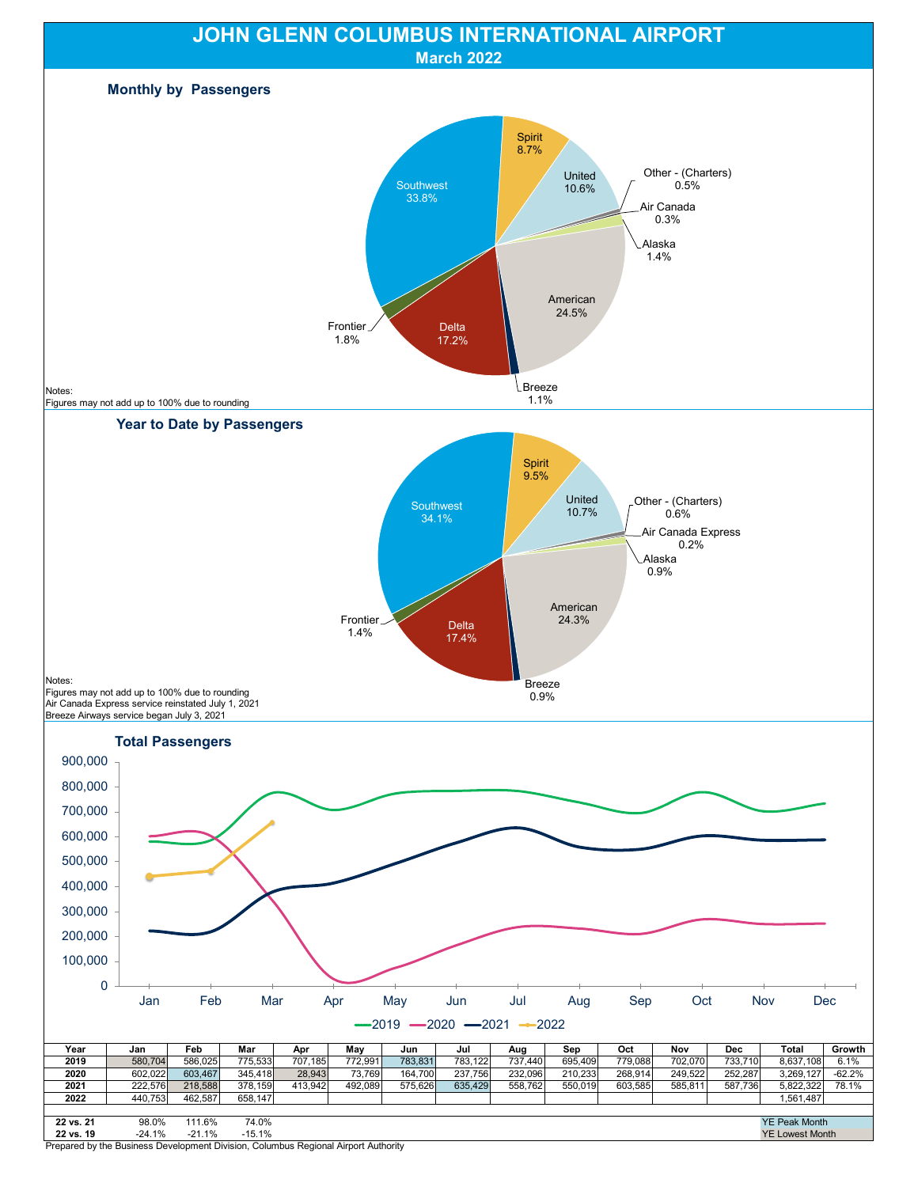

Prepared by the Business Development Division, Columbus Regional Airport Authority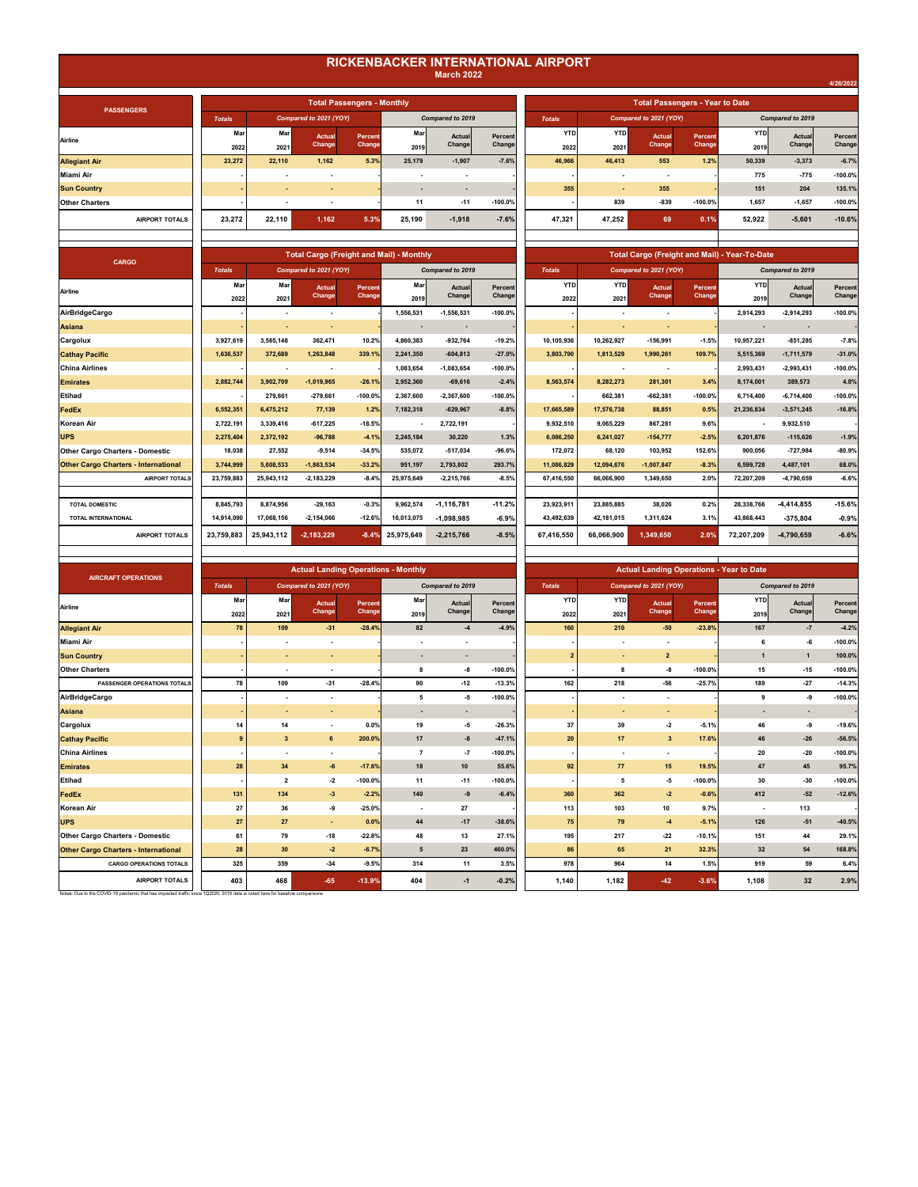## **RICKENBACKER INTERNATIONAL AIRPORT March 2022**

|                          |                                   |        |                  |           |               |            |                        |                                        |            |                  | 4/26/2022 |
|--------------------------|-----------------------------------|--------|------------------|-----------|---------------|------------|------------------------|----------------------------------------|------------|------------------|-----------|
|                          |                                   |        |                  |           |               |            |                        |                                        |            |                  |           |
|                          | <b>Total Passengers - Monthly</b> |        |                  |           |               |            |                        | <b>Total Passengers - Year to Date</b> |            |                  |           |
| to 2021 (YOY)            |                                   |        | Compared to 2019 |           | <b>Totals</b> |            | Compared to 2021 (YOY) |                                        |            | Compared to 2019 |           |
| Actual                   | Percent                           | Mar    | Actual           | Percent   | <b>YTD</b>    | <b>YTD</b> | Actual                 | Percent                                | <b>YTD</b> | Actual           | Percent   |
| <b>Change</b>            | Change                            | 2019   | Change           | Change    | 2022          | 2021       | <b>Change</b>          | <b>Change</b>                          | 2019       | Change           | Change    |
| 1,162                    | 5.3%                              | 25,179 | $-1,907$         | $-7.6%$   | 46,966        | 46,413     | 553                    | 1.2%                                   | 50,339     | $-3,373$         | $-6.7%$   |
|                          |                                   | ۰      |                  |           |               | ۰          | ۰                      |                                        | 775        | $-775$           | $-100.0%$ |
| ۰.                       |                                   |        | ٠                |           | 355           | ۰.         | 355                    |                                        | 151        | 204              | 135.1%    |
| $\overline{\phantom{a}}$ |                                   | 11     | $-11$            | $-100.0%$ |               | 839        | $-839$                 | $-100.0%$                              | 1,657      | $-1,657$         | $-100.0%$ |
| 1,162                    | 5.3%                              | 25.190 | $-1,918$         | $-7.6%$   | 47,321        | 47,252     | 69                     | 0.1%                                   | 52,922     | $-5,601$         | $-10.6%$  |
|                          |                                   |        |                  |           |               |            |                        |                                        |            |                  |           |

| <b>Total Cargo (Freight and Mail) - Monthly</b> |                      |                   |             |                         |                    |                    |                    |                        |                   | <b>Total Cargo (Freight and Mail) - Year-To-Date</b> |                  |                   |
|-------------------------------------------------|----------------------|-------------------|-------------|-------------------------|--------------------|--------------------|--------------------|------------------------|-------------------|------------------------------------------------------|------------------|-------------------|
|                                                 | mpared to 2021 (YOY) |                   |             | Compared to 2019        |                    | <b>Totals</b>      |                    | Compared to 2021 (YOY) |                   |                                                      | Compared to 2019 |                   |
| 3L                                              | Actual<br>Change     | Percent<br>Change | Mar<br>2019 | <b>Actual</b><br>Change | Percent<br>Changel | <b>YTD</b><br>2022 | <b>YTD</b><br>2021 | Actual<br>Change       | Percent<br>Change | <b>YTD</b><br>2019                                   | Actual<br>Change | Percent<br>Change |
|                                                 |                      |                   | 1.556.531   | $-1.556.531$            | $-100.0%$          |                    |                    |                        |                   | 2,914,293                                            | $-2,914,293$     | $-100.0%$         |
|                                                 |                      |                   |             |                         |                    |                    |                    |                        |                   |                                                      |                  |                   |
|                                                 | 362,471              | 10.2%             | 4,860,383   | $-932,764$              | $-19.2%$           | 10,105,936         | 10,262,927         | $-156,991$             | $-1.5%$           | 10,957,221                                           | $-851,285$       | $-7.8%$           |
|                                                 | 1,263,848            | 339.1%            | 2.241.350   | $-604.813$              | $-27.0%$           | 3.803.790          | 1,813,529          | 1,990,261              | 109.7%            | 5,515,369                                            | $-1,711,579$     | $-31.0%$          |
|                                                 |                      |                   | 1.083.654   | $-1.083.654$            | $-100.0%$          | ٠                  | ٠                  |                        |                   | 2,993,431                                            | $-2,993,431$     | $-100.0%$         |
|                                                 | $-1,019,965$         | $-26.1%$          | 2,952,360   | $-69,616$               | $-2.4%$            | 8,563,574          | 8,282,273          | 281,301                | 3.4%              | 8,174,001                                            | 389,573          | 4.8%              |
|                                                 | $-279.661$           | $-100.0%$         | 2.367.600   | $-2.367.600$            | $-100.0%$          | ٠                  | 662,381            | $-662.381$             | $-100.0%$         | 6,714,400                                            | $-6,714,400$     | $-100.0%$         |
|                                                 | 77,139               | 1.2%              | 7,182,318   | $-629,967$              | $-8.8%$            | 17,665,589         | 17,576,738         | 88,851                 | 0.5%              | 21,236,834                                           | $-3,571,245$     | $-16.8%$          |
|                                                 | $-617,225$           | $-18.5%$          | $\sim$      | 2,722,191               |                    | 9,932,510          | 9,065,229          | 867,281                | 9.6%              | $\overline{\phantom{a}}$                             | 9,932,510        |                   |
|                                                 | $-96,788$            | $-4.1%$           | 2,245,184   | 30,220                  | 1.3%               | 6,086,250          | 6,241,027          | $-154,777$             | $-2.5%$           | 6,201,876                                            | $-115,626$       | $-1.9%$           |
|                                                 | $-9.514$             | $-34.5%$          | 535,072     | $-517,034$              | $-96.6%$           | 172,072            | 68,120             | 103.952                | 152.6%            | 900,056                                              | $-727,984$       | $-80.9%$          |
|                                                 | $-1,863,534$         | $-33.2%$          | 951,197     | 2,793,802               | 293.7%             | 11,086,829         | 12,094,676         | $-1,007,847$           | $-8.3%$           | 6,599,728                                            | 4,487,101        | 68.0%             |
|                                                 | $-2,183,229$         | $-8.4%$           | 25.975.649  | $-2,215,766$            | $-8.5%$            | 67.416.550         | 66.066.900         | 1,349,650              | 2.0%              | 72.207.209                                           | -4,790,659       | $-6.6%$           |
|                                                 |                      |                   |             |                         |                    |                    |                    |                        |                   |                                                      |                  |                   |
|                                                 | $-29,163$            | $-0.3%$           | 9,962,574   | $-1, 116, 781$          | $-11.2%$           | 23,923,911         | 23,885,885         | 38.026                 | 0.2%              | 28,338,766                                           | $-4.414.855$     | $-15.6%$          |
|                                                 | $-2,154,066$         | $-12.6%$          | 16,013,075  | $-1.098.985$            | $-6.9%$            | 43,492,639         | 42,181,015         | 1,311,624              | 3.1%              | 43,868,443                                           | $-375.804$       | $-0.9%$           |
|                                                 | $-2,183,229$         | $-8.4%$           | 25.975.649  | $-2.215.766$            | $-8.5%$            | 67.416.550         | 66.066.900         | 1.349.650              | 2.0%              | 72.207.209                                           | -4.790.659       | $-6.6%$           |

| <b>PASSENGERS</b>     |               |        |                          | <b>Total Passengers - Monthly</b> |        |                          |            |               |            | <b>Total Passengers - Year to Date</b> |           |        |                  |           |
|-----------------------|---------------|--------|--------------------------|-----------------------------------|--------|--------------------------|------------|---------------|------------|----------------------------------------|-----------|--------|------------------|-----------|
|                       | <b>Totals</b> |        | Compared to 2021 (YOY)   |                                   |        | Compared to 2019         |            | <b>Totals</b> |            | Compared to 2021 (YOY)                 |           |        | Compared to 2019 |           |
| Airline               | Mar           | Mar    | Actual                   | Percent                           | Mar    | Actual                   | Percent    | <b>YTD</b>    | <b>YTD</b> | Actual                                 | Percent   | YTD    | Actual           | Percent   |
|                       | 2022          | 2021   | Change                   | Change                            | 2019   | Change                   | Change     | 2022          | 2021       | Change                                 | Change    | 2019   | Change           | Change    |
| <b>Allegiant Air</b>  | 23.272        | 22.110 | 1,162                    | 5.3%                              | 25.179 | $-1,907$                 | $-7.6%$    | 46,966        | 46,413     | 553                                    | 1.2%      | 50,339 | $-3,373$         | $-6.7%$   |
| Miami Air             |               | ٠      | ٠                        |                                   |        | $\overline{\phantom{a}}$ |            |               |            |                                        |           | 775    | $-775$           | $-100.0%$ |
| <b>Sun Country</b>    |               |        |                          |                                   |        | $\overline{\phantom{a}}$ |            | 355           | $\sim$     | 355                                    |           | 151    | 204              | 135.1%    |
| <b>Other Charters</b> |               |        | $\overline{\phantom{a}}$ |                                   | 11     | $-11$                    | $-100.0\%$ |               | 839        | $-839$                                 | $-100.0%$ | 1.657  | $-1,657$         | $-100.0%$ |
| <b>AIRPORT TOTALS</b> | 23.272        | 22.110 | 1,162                    | 5.3%                              | 25.190 | $-1,918$                 | $-7.6%$    | 47.321        | 47.252     | 69                                     | 0.1%      | 52.922 | $-5,601$         | $-10.6%$  |
|                       |               |        |                          |                                   |        |                          |            |               |            |                                        |           |        |                  |           |

| <b>CARGO</b>                                |               |            | <b>Total Cargo (Freight and Mail) - Monthly</b> |           |            |                          |           |               |            |                        |           | Total Cargo (Freight and Mail) - Year-To-Date |                  |           |
|---------------------------------------------|---------------|------------|-------------------------------------------------|-----------|------------|--------------------------|-----------|---------------|------------|------------------------|-----------|-----------------------------------------------|------------------|-----------|
|                                             | <b>Totals</b> |            | Compared to 2021 (YOY)                          |           |            | Compared to 2019         |           | <b>Totals</b> |            | Compared to 2021 (YOY) |           |                                               | Compared to 2019 |           |
| Airline                                     | Mar           | Mar        | Actual                                          | Percent   | Mar        | Actual                   | Percent   | <b>YTD</b>    | <b>YTD</b> | Actual                 | Percent   | <b>YTD</b>                                    | Actual           | Percent   |
|                                             | 2022          | 2021       | Change                                          | Change    | 2019       | Change                   | Change    | 2022          | 2021       | Change                 | Change    | 2019                                          | Change           | Change    |
| <b>AirBridgeCargo</b>                       |               | ٠          | ۰.                                              |           | 1,556,531  | $-1,556,531$             | $-100.0%$ |               |            |                        |           | 2,914,293                                     | $-2,914,293$     | $-100.0%$ |
| Asiana                                      |               | ٠          | ٠                                               |           | ٠          | $\overline{\phantom{a}}$ |           |               |            |                        |           |                                               | $\blacksquare$   |           |
| Cargolux                                    | 3.927.619     | 3.565.148  | 362.471                                         | 10.2%     | 4.860.383  | $-932.764$               | $-19.2%$  | 10.105.936    | 10.262.927 | $-156.991$             | $-1.5%$   | 10.957.221                                    | $-851.285$       | $-7.8%$   |
| <b>Cathay Pacific</b>                       | 1.636.537     | 372.689    | 1.263.848                                       | 339.1%    | 2.241.350  | $-604.813$               | $-27.0%$  | 3.803.790     | 1.813.529  | 1.990.261              | 109.7%    | 5,515,369                                     | $-1.711.579$     | $-31.0%$  |
| China Airlines                              |               |            | $\overline{\phantom{a}}$                        |           | 1,083,654  | $-1,083,654$             | $-100.0%$ |               |            |                        |           | 2,993,431                                     | $-2,993,431$     | $-100.0%$ |
| <b>Emirates</b>                             | 2,882,744     | 3,902,709  | $-1,019,965$                                    | $-26.1%$  | 2.952.360  | $-69.616$                | $-2.4%$   | 8,563,574     | 8,282,273  | 281,301                | 3.4%      | 8.174.001                                     | 389.573          | 4.8%      |
| Etihad                                      |               | 279,661    | $-279,661$                                      | $-100.0%$ | 2,367,600  | $-2,367,600$             | $-100.0%$ |               | 662,381    | $-662,381$             | $-100.0%$ | 6,714,400                                     | $-6,714,400$     | $-100.0%$ |
| FedEx                                       | 6,552,351     | 6,475,212  | 77,139                                          | 1.2%      | 7,182,318  | $-629,967$               | $-8.8%$   | 17,665,589    | 17,576,738 | 88,851                 | 0.5%      | 21,236,834                                    | $-3,571,245$     | $-16.8%$  |
| Korean Air                                  | 2,722,191     | 3,339,416  | $-617.225$                                      | $-18.5%$  |            | 2,722,191                |           | 9,932,510     | 9.065.229  | 867,281                | 9.6%      |                                               | 9,932,510        |           |
| <b>UPS</b>                                  | 2,275,404     | 2.372.192  | $-96.788$                                       | $-4.1%$   | 2.245.184  | 30,220                   | 1.3%      | 6,086,250     | 6.241.027  | $-154.777$             | $-2.5%$   | 6.201.876                                     | $-115.626$       | $-1.9%$   |
| <b>Other Cargo Charters - Domestic</b>      | 18.038        | 27,552     | $-9,514$                                        | $-34.5%$  | 535.072    | $-517.034$               | $-96.6%$  | 172,072       | 68.120     | 103.952                | 152.6%    | 900.056                                       | $-727.984$       | $-80.9%$  |
| <b>Other Cargo Charters - International</b> | 3.744.999     | 5,608,533  | $-1,863,534$                                    | $-33.2%$  | 951.197    | 2,793,802                | 293.7%    | 11.086.829    | 12,094,676 | $-1,007,847$           | $-8.3%$   | 6.599.728                                     | 4,487,101        | 68.0%     |
| <b>AIRPORT TOTALS</b>                       | 23.759.883    | 25.943.112 | $-2.183.229$                                    | $-8.4%$   | 25.975.649 | $-2.215.766$             | $-8.5%$   | 67.416.550    | 66.066.900 | 1,349,650              | 2.0%      | 72.207.209                                    | $-4.790.659$     | $-6.6%$   |
|                                             |               |            |                                                 |           |            |                          |           |               |            |                        |           |                                               |                  |           |
| <b>TOTAL DOMESTIC</b>                       | 8.845.793     | 8.874.956  | $-29.163$                                       | $-0.3%$   | 9.962.574  | $-1.116.781$             | $-11.2%$  | 23.923.911    | 23.885.885 | 38.026                 | 0.2%      | 28,338,766                                    | $-4.414.855$     | $-15.6%$  |
| TOTAL INTERNATIONAL                         | 14,914,090    | 17,068,156 | $-2,154,066$                                    | $-12.6%$  | 16,013,075 | $-1,098,985$             | $-6.9%$   | 43,492,639    | 42,181,015 | 1,311,624              | 3.1%      | 43,868,443                                    | $-375,804$       | $-0.9%$   |
| <b>AIRPORT TOTALS</b>                       | 23.759.883    | 25,943,112 | $-2,183,229$                                    | $-8.4%$   | 25,975,649 | $-2,215,766$             | $-8.5%$   | 67.416.550    | 66,066,900 | 1,349,650              | 2.0%      | 72,207,209                                    | -4,790,659       | $-6.6%$   |
|                                             |               |            |                                                 |           |            |                          |           |               |            |                        |           |                                               |                  |           |

| <b>AIRCRAFT OPERATIONS</b>                  |               |                          | <b>Actual Landing Operations - Monthly</b> |           |                |                          |           |                |            |                          |           | <b>Actual Landing Operations - Year to Date</b> |                          |           |
|---------------------------------------------|---------------|--------------------------|--------------------------------------------|-----------|----------------|--------------------------|-----------|----------------|------------|--------------------------|-----------|-------------------------------------------------|--------------------------|-----------|
|                                             | <b>Totals</b> |                          | Compared to 2021 (YOY)                     |           |                | Compared to 2019         |           | <b>Totals</b>  |            | Compared to 2021 (YOY)   |           |                                                 | Compared to 2019         |           |
| Airline                                     | Mar           | <b>Mar</b>               | Actual                                     | Percent   | Mar            | Actual                   | Percent   | <b>YTD</b>     | <b>YTD</b> | Actual                   | Percent   | <b>YTD</b>                                      | Actual                   | Percent   |
|                                             | 2022          | 2021                     | Change                                     | Change    | 2019           | Change                   | Change    | 2022           | 2021       | Change                   | Change    | 2019                                            | Change                   | Change    |
| <b>Allegiant Air</b>                        | 78            | 109                      | $-31$                                      | $-28.4%$  | 82             | $-4$                     | $-4.9%$   | 160            | 210        | $-50$                    | $-23.8%$  | 167                                             | $-7$                     | $-4.2%$   |
| <b>Miami Air</b>                            |               |                          | $\overline{\phantom{a}}$                   |           | ٠              | $\overline{\phantom{a}}$ |           |                |            | $\overline{\phantom{a}}$ |           | 6                                               | -6                       | $-100.0%$ |
| <b>Sun Country</b>                          |               |                          |                                            |           | ٠              | $\overline{\phantom{a}}$ |           | $\overline{2}$ | ٠          | $\overline{2}$           |           | $\mathbf{1}$                                    | $\mathbf{1}$             | 100.0%    |
| <b>Other Charters</b>                       |               |                          | $\blacksquare$                             |           | 8              | -8                       | $-100.0%$ |                | 8          | $-8$                     | $-100.0%$ | 15                                              | $-15$                    | $-100.0%$ |
| PASSENGER OPERATIONS TOTALS                 | 78            | 109                      | $-31$                                      | $-28.4%$  | 90             | $-12$                    | $-13.3%$  | 162            | 218        | $-56$                    | $-25.7%$  | 189                                             | $-27$                    | $-14.3%$  |
| <b>AirBridgeCargo</b>                       |               |                          | $\blacksquare$                             |           | 5              | -5                       | $-100.0%$ |                | ٠          | ۰                        |           | 9                                               | -9                       | $-100.0%$ |
| <b>Asiana</b>                               |               | $\sim$                   | ٠                                          |           | ٠              | ٠                        |           |                | ٠          | $\sim$                   |           | $\blacksquare$                                  | $\overline{\phantom{a}}$ |           |
| Cargolux                                    | 14            | 14                       | $\overline{\phantom{a}}$                   | 0.0%      | 19             | -5                       | $-26.3%$  | 37             | 39         | $-2$                     | $-5.1%$   | 46                                              | -9                       | $-19.6%$  |
| <b>Cathay Pacific</b>                       | 9             | $\overline{\mathbf{3}}$  | 6                                          | 200.0%    | 17             | $-8$                     | $-47.1%$  | 20             | 17         | $\overline{\mathbf{3}}$  | 17.6%     | 46                                              | $-26$                    | $-56.5%$  |
| <b>China Airlines</b>                       |               | $\overline{\phantom{a}}$ | $\overline{\phantom{a}}$                   |           | $\overline{7}$ | $-7$                     | $-100.0%$ |                | ٠          | $\overline{\phantom{a}}$ |           | 20                                              | $-20$                    | $-100.0%$ |
| <b>Emirates</b>                             | 28            | 34                       | $-6$                                       | $-17.6%$  | 18             | 10                       | 55.6%     | 92             | 77         | 15                       | 19.5%     | 47                                              | 45                       | 95.7%     |
| <b>Etihad</b>                               |               | $\overline{\mathbf{2}}$  | $-2$                                       | $-100.0%$ | 11             | $-11$                    | $-100.0%$ |                | 5          | -5                       | $-100.0%$ | 30                                              | $-30$                    | $-100.0%$ |
| FedEx                                       | 131           | 134                      | $-3$                                       | $-2.2%$   | 140            | $-9$                     | $-6.4%$   | 360            | 362        | $-2$                     | $-0.6%$   | 412                                             | $-52$                    | $-12.6%$  |
| Korean Air                                  | 27            | 36                       | -9                                         | $-25.0%$  | $\blacksquare$ | 27                       |           | 113            | 103        | 10                       | 9.7%      |                                                 | 113                      |           |
| <b>UPS</b>                                  | 27            | 27                       | $\sim$                                     | 0.0%      | 44             | $-17$                    | $-38.6%$  | 75             | 79         | $-4$                     | $-5.1%$   | 126                                             | $-51$                    | $-40.5%$  |
| <b>Other Cargo Charters - Domestic</b>      | 61            | 79                       | $-18$                                      | $-22.8%$  | 48             | 13                       | 27.1%     | 195            | 217        | $-22$                    | $-10.1%$  | 151                                             | 44                       | 29.1%     |
| <b>Other Cargo Charters - International</b> | 28            | 30                       | $-2$                                       | $-6.7%$   | 5              | 23                       | 460.0%    | 86             | 65         | 21                       | 32.3%     | 32                                              | 54                       | 168.8%    |
| <b>CARGO OPERATIONS TOTALS</b>              | 325           | 359                      | $-34$                                      | $-9.5%$   | 314            | 11                       | 3.5%      | 978            | 964        | 14                       | 1.5%      | 919                                             | 59                       | 6.4%      |
| <b>AIRPORT TOTALS</b>                       | 403           | 468                      | $-65$                                      | $-13.9%$  | 404            | $-1$                     | $-0.2%$   | 1,140          | 1,182      | $-42$                    | $-3.6%$   | 1,108                                           | 32                       | 2.9%      |

Notes: Due to the COVID-19 pandemic that has impacted traffic since 1Q2020, 2019 data is noted here for baseline comparisons

| <b>Actual Landing Operations - Monthly</b> |                   |                          |                          |                   |                    |                    |                         |                   | <b>Actual Landing Operations - Year to Date</b> |                  |                   |
|--------------------------------------------|-------------------|--------------------------|--------------------------|-------------------|--------------------|--------------------|-------------------------|-------------------|-------------------------------------------------|------------------|-------------------|
| pared to 2021 (YOY)                        |                   |                          | Compared to 2019         |                   | <b>Totals</b>      |                    | Compared to 2021 (YOY)  |                   |                                                 | Compared to 2019 |                   |
| <b>Actual</b><br>Change                    | Percent<br>Change | Mar<br>2019              | <b>Actual</b><br>Change  | Percent<br>Change | <b>YTD</b><br>2022 | <b>YTD</b><br>2021 | <b>Actual</b><br>Change | Percent<br>Change | <b>YTD</b><br>2019                              | Actual<br>Change | Percent<br>Change |
| $-31$                                      | $-28.4%$          | 82                       | $-4$                     | $-4.9%$           | 160                | 210                | $-50$                   | $-23.8%$          | 167                                             | $-7$             | $-4.2%$           |
| ٠                                          |                   | ٠                        | $\overline{\phantom{a}}$ |                   |                    |                    | ٠                       |                   | 6                                               | -6               | $-100.0%$         |
| ٠                                          |                   | $\overline{\phantom{a}}$ | $\blacksquare$           |                   | $\overline{2}$     | ٠                  | $\overline{2}$          |                   | $\mathbf{1}$                                    | 1                | 100.0%            |
| $\overline{\phantom{a}}$                   |                   | 8                        | -8                       | $-100.0%$         |                    | 8                  | -8                      | $-100.0%$         | 15                                              | $-15$            | $-100.0%$         |
| $-31$                                      | $-28.4%$          | 90                       | $-12$                    | $-13.3%$          | 162                | 218                | $-56$                   | $-25.7%$          | 189                                             | $-27$            | $-14.3%$          |
| ٠                                          |                   | 5                        | -5                       | $-100.0%$         |                    | ٠                  | ٠                       |                   | 9                                               | -9               | $-100.0%$         |
| ٠                                          |                   | ×                        | ٠                        |                   |                    | ٠                  | ٠                       |                   | ٠                                               | ٠                |                   |
| ٠                                          | 0.0%              | 19                       | -5                       | $-26.3%$          | 37                 | 39                 | -2                      | $-5.1%$           | 46                                              | -9               | $-19.6%$          |
| 6                                          | 200.0%            | 17                       | -8                       | $-47.1%$          | 20                 | 17                 | $\mathbf{3}$            | 17.6%             | 46                                              | $-26$            | $-56.5%$          |
| ٠                                          |                   | $\overline{7}$           | $-7$                     | $-100.0%$         |                    |                    | ٠                       |                   | 20                                              | $-20$            | $-100.0%$         |
| $\textbf{-6}$                              | $-17.6%$          | 18                       | 10                       | 55.6%             | 92                 | 77                 | 15                      | 19.5%             | 47                                              | 45               | 95.7%             |
| $-2$                                       | $-100.0%$         | 11                       | $-11$                    | $-100.0%$         |                    | 5                  | $\textbf{-5}$           | $-100.0%$         | 30                                              | $-30$            | $-100.0%$         |
| $-3$                                       | $-2.2%$           | 140                      | -9                       | $-6.4%$           | 360                | 362                | $-2$                    | $-0.6%$           | 412                                             | $-52$            | $-12.6%$          |
| -9                                         | $-25.0%$          | ä,                       | 27                       |                   | 113                | 103                | 10                      | 9.7%              | $\blacksquare$                                  | 113              |                   |
| $\blacksquare$                             | 0.0%              | 44                       | $-17$                    | $-38.6%$          | 75                 | 79                 | $-4$                    | $-5.1%$           | 126                                             | $-51$            | $-40.5%$          |
| $-18$                                      | $-22.8%$          | 48                       | 13                       | 27.1%             | 195                | 217                | $-22$                   | $-10.1%$          | 151                                             | 44               | 29.1%             |
| $-2$                                       | $-6.7%$           | 5                        | 23                       | 460.0%            | 86                 | 65                 | 21                      | 32.3%             | 32                                              | 54               | 168.8%            |
| $-34$                                      | $-9.5%$           | 314                      | 11                       | 3.5%              | 978                | 964                | 14                      | 1.5%              | 919                                             | 59               | 6.4%              |
| $-65$                                      | $-13.9%$          | 404                      | $-1$                     | $-0.2%$           | 1,140              | 1,182              | $-42$                   | $-3.6%$           | 1,108                                           | 32               | 2.9%              |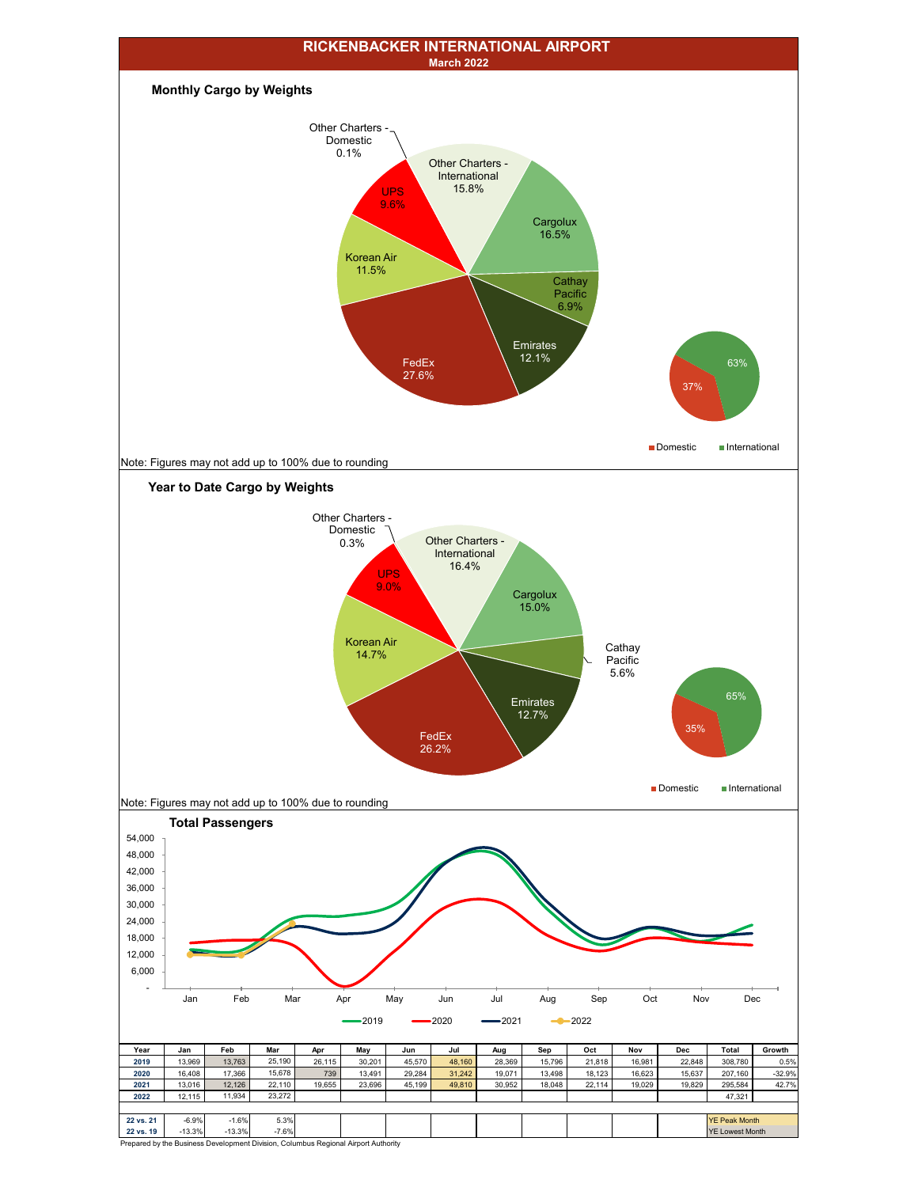

Prepared by the Business Development Division, Columbus Regional Airport Authority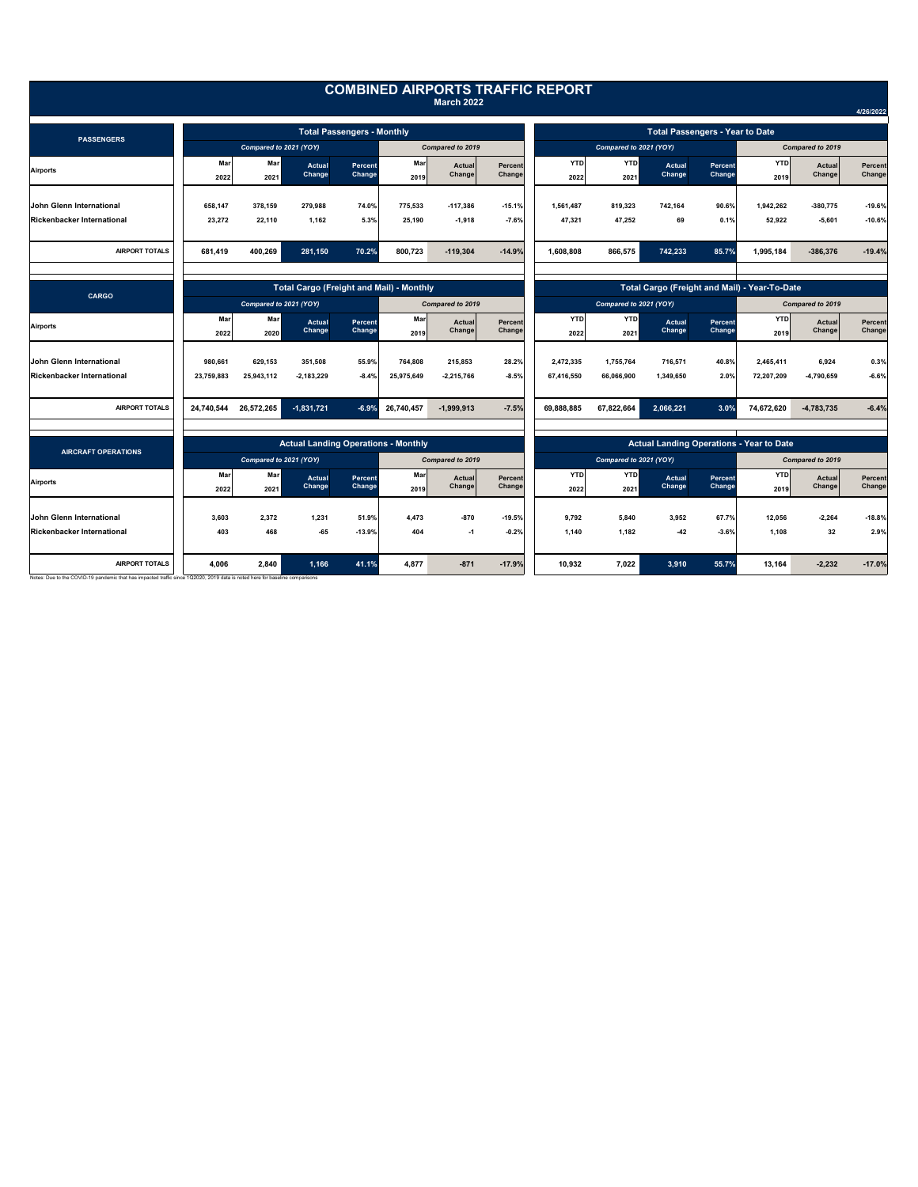|                                                                                                                                                       |                                                                                               |             |                                            |                   |             |                         |                                                                                             | <b>COMBINED AIRPORTS TRAFFIC REPORT</b> |                        |                         |                   |                                                 |                  |                          |  |
|-------------------------------------------------------------------------------------------------------------------------------------------------------|-----------------------------------------------------------------------------------------------|-------------|--------------------------------------------|-------------------|-------------|-------------------------|---------------------------------------------------------------------------------------------|-----------------------------------------|------------------------|-------------------------|-------------------|-------------------------------------------------|------------------|--------------------------|--|
|                                                                                                                                                       |                                                                                               |             |                                            |                   |             | <b>March 2022</b>       |                                                                                             |                                         |                        |                         |                   |                                                 |                  | 4/26/2022                |  |
|                                                                                                                                                       | <b>Total Passengers - Monthly</b>                                                             |             |                                            |                   |             |                         |                                                                                             | <b>Total Passengers - Year to Date</b>  |                        |                         |                   |                                                 |                  |                          |  |
| <b>PASSENGERS</b>                                                                                                                                     | Compared to 2021 (YOY)                                                                        |             |                                            | Compared to 2019  |             |                         | Compared to 2021 (YOY)                                                                      |                                         |                        |                         | Compared to 2019  |                                                 |                  |                          |  |
| <b>Airports</b>                                                                                                                                       | Mar<br>2022                                                                                   | Mar<br>2021 | Actual<br>Change                           | Percent<br>Change | Mar<br>2019 | Actual<br>Change        | Percent<br>Change                                                                           | <b>YTD</b><br>2022                      | <b>YTD</b><br>2021     | <b>Actual</b><br>Change | Percent<br>Change | <b>YTD</b><br>2019                              | Actual<br>Change | Percent<br>Change        |  |
| <b>John Glenn International</b>                                                                                                                       | 658,147                                                                                       | 378.159     | 279.988                                    | 74.0%             | 775,533     | $-117,386$              | $-15.1%$                                                                                    | 1,561,487                               | 819.323                | 742,164                 | 90.6%             | 1.942.262                                       | $-380,775$       | $-19.6%$                 |  |
| <b>Rickenbacker International</b>                                                                                                                     | 23,272                                                                                        | 22,110      | 1.162                                      | 5.3%              | 25.190      | $-1,918$                | $-7.6%$                                                                                     | 47.321                                  | 47.252                 | 69                      | 0.1%              | 52.922                                          | $-5.601$         | $-10.6%$                 |  |
| <b>AIRPORT TOTALS</b>                                                                                                                                 | 681,419                                                                                       | 400,269     | 281,150                                    | 70.2%             | 800,723     | $-119,304$              | $-14.9%$                                                                                    | 1,608,808                               | 866,575                | 742,233                 | 85.7%             | 1,995,184                                       | $-386,376$       | $-19.4%$                 |  |
|                                                                                                                                                       |                                                                                               |             |                                            |                   |             |                         |                                                                                             |                                         |                        |                         |                   |                                                 |                  |                          |  |
| CARGO                                                                                                                                                 | <b>Total Cargo (Freight and Mail) - Monthly</b><br>Compared to 2021 (YOY)<br>Compared to 2019 |             |                                            |                   |             |                         | Total Cargo (Freight and Mail) - Year-To-Date<br>Compared to 2021 (YOY)<br>Compared to 2019 |                                         |                        |                         |                   |                                                 |                  |                          |  |
| <b>Airports</b>                                                                                                                                       | Mar<br>2022                                                                                   | Mar<br>2020 | Actual<br>Change                           | Percent<br>Change | Mar<br>2019 | <b>Actual</b><br>Change | Percent<br>Change                                                                           | <b>YTD</b><br>2022                      | <b>YTD</b><br>2021     | <b>Actual</b><br>Change | Percent<br>Change | <b>YTD</b><br>2019                              | Actual<br>Change | <b>Percent</b><br>Change |  |
| John Glenn International                                                                                                                              | 980,661                                                                                       | 629,153     | 351,508                                    | 55.9%             | 764,808     | 215,853                 | 28.2%                                                                                       | 2,472,335                               | 1,755,764              | 716,571                 | 40.8%             | 2,465,411                                       | 6,924            | 0.3%                     |  |
| <b>Rickenbacker International</b>                                                                                                                     | 23,759,883                                                                                    | 25,943,112  | $-2,183,229$                               | $-8.4%$           | 25,975,649  | $-2,215,766$            | $-8.5%$                                                                                     | 67,416,550                              | 66,066,900             | 1,349,650               | 2.0%              | 72,207,209                                      | -4,790,659       | $-6.6%$                  |  |
| <b>AIRPORT TOTALS</b>                                                                                                                                 | 24,740,544                                                                                    | 26,572,265  | $-1,831,721$                               | $-6.9%$           | 26,740,457  | $-1,999,913$            | $-7.5%$                                                                                     | 69,888,885                              | 67,822,664             | 2,066,221               | 3.0%              | 74,672,620                                      | $-4,783,735$     | $-6.4%$                  |  |
|                                                                                                                                                       |                                                                                               |             | <b>Actual Landing Operations - Monthly</b> |                   |             |                         |                                                                                             |                                         |                        |                         |                   | <b>Actual Landing Operations - Year to Date</b> |                  |                          |  |
| <b>AIRCRAFT OPERATIONS</b>                                                                                                                            | Compared to 2021 (YOY)                                                                        |             |                                            |                   |             | Compared to 2019        |                                                                                             |                                         | Compared to 2021 (YOY) |                         |                   |                                                 | Compared to 2019 |                          |  |
| <b>Airports</b>                                                                                                                                       | Mar<br>2022                                                                                   | Mar<br>2021 | <b>Actual</b><br>Change                    | Percent<br>Change | Mar<br>2019 | Actual<br>Change        | Percent<br>Change                                                                           | <b>YTD</b><br>2022                      | <b>YTD</b><br>2021     | Actual<br>Change        | Percent<br>Change | <b>YTD</b><br>2019                              | Actual<br>Change | Percent<br>Change        |  |
| <b>John Glenn International</b>                                                                                                                       | 3.603                                                                                         | 2.372       | 1.231                                      | 51.9%             | 4.473       | $-870$                  | $-19.5%$                                                                                    | 9.792                                   | 5,840                  | 3,952                   | 67.7%             | 12.056                                          | $-2.264$         | $-18.8%$                 |  |
| Rickenbacker International                                                                                                                            | 403                                                                                           | 468         | $-65$                                      | $-13.9%$          | 404         | $-1$                    | $-0.2%$                                                                                     | 1,140                                   | 1,182                  | $-42$                   | $-3.6%$           | 1,108                                           | 32               | 2.9%                     |  |
| <b>AIRPORT TOTALS</b><br>Notes: Due to the COVID-19 pandemic that has impacted traffic since 1Q2020, 2019 data is noted here for baseline comparisons | 4,006                                                                                         | 2,840       | 1,166                                      | 41.1%             | 4,877       | $-871$                  | $-17.9%$                                                                                    | 10,932                                  | 7,022                  | 3,910                   | 55.7%             | 13,164                                          | $-2,232$         | $-17.0%$                 |  |